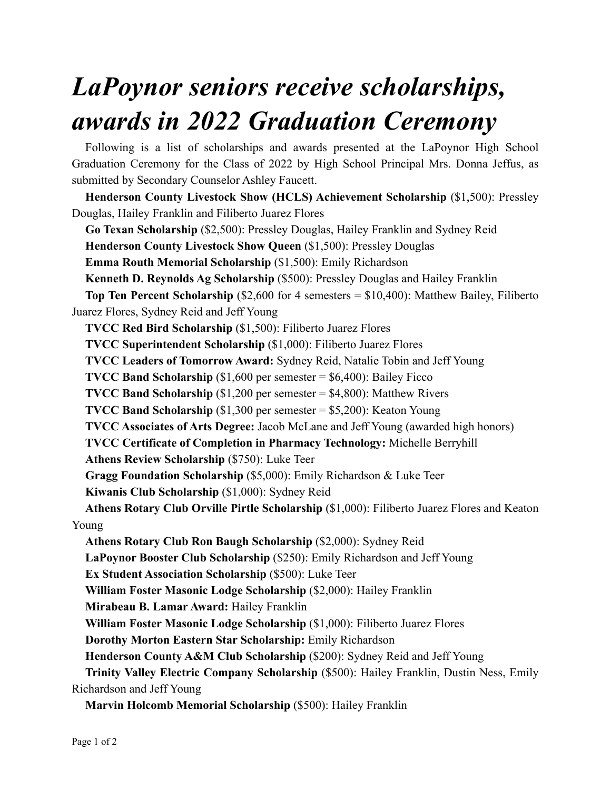## *LaPoynor seniors receive scholarships, awards in 2022 Graduation Ceremony*

Following is a list of scholarships and awards presented at the LaPoynor High School Graduation Ceremony for the Class of 2022 by High School Principal Mrs. Donna Jeffus, as submitted by Secondary Counselor Ashley Faucett.

**Henderson County Livestock Show (HCLS) Achievement Scholarship** (\$1,500): Pressley Douglas, Hailey Franklin and Filiberto Juarez Flores

**Go Texan Scholarship** (\$2,500): Pressley Douglas, Hailey Franklin and Sydney Reid

**Henderson County Livestock Show Queen** (\$1,500): Pressley Douglas

**Emma Routh Memorial Scholarship** (\$1,500): Emily Richardson

**Kenneth D. Reynolds Ag Scholarship** (\$500): Pressley Douglas and Hailey Franklin

**Top Ten Percent Scholarship** (\$2,600 for 4 semesters = \$10,400): Matthew Bailey, Filiberto Juarez Flores, Sydney Reid and Jeff Young

**TVCC Red Bird Scholarship** (\$1,500): Filiberto Juarez Flores

**TVCC Superintendent Scholarship** (\$1,000): Filiberto Juarez Flores

**TVCC Leaders of Tomorrow Award:** Sydney Reid, Natalie Tobin and Jeff Young

**TVCC Band Scholarship** (\$1,600 per semester = \$6,400): Bailey Ficco

**TVCC Band Scholarship** (\$1,200 per semester = \$4,800): Matthew Rivers

**TVCC Band Scholarship** (\$1,300 per semester = \$5,200): Keaton Young

**TVCC Associates of Arts Degree:** Jacob McLane and Jeff Young (awarded high honors)

**TVCC Certificate of Completion in Pharmacy Technology:** Michelle Berryhill

**Athens Review Scholarship** (\$750): Luke Teer

**Gragg Foundation Scholarship** (\$5,000): Emily Richardson & Luke Teer

**Kiwanis Club Scholarship** (\$1,000): Sydney Reid

**Athens Rotary Club Orville Pirtle Scholarship** (\$1,000): Filiberto Juarez Flores and Keaton Young

**Athens Rotary Club Ron Baugh Scholarship** (\$2,000): Sydney Reid

**LaPoynor Booster Club Scholarship** (\$250): Emily Richardson and Jeff Young

**Ex Student Association Scholarship** (\$500): Luke Teer

**William Foster Masonic Lodge Scholarship** (\$2,000): Hailey Franklin

**Mirabeau B. Lamar Award:** Hailey Franklin

**William Foster Masonic Lodge Scholarship** (\$1,000): Filiberto Juarez Flores

**Dorothy Morton Eastern Star Scholarship:** Emily Richardson

**Henderson County A&M Club Scholarship** (\$200): Sydney Reid and Jeff Young

**Trinity Valley Electric Company Scholarship** (\$500): Hailey Franklin, Dustin Ness, Emily Richardson and Jeff Young

**Marvin Holcomb Memorial Scholarship** (\$500): Hailey Franklin